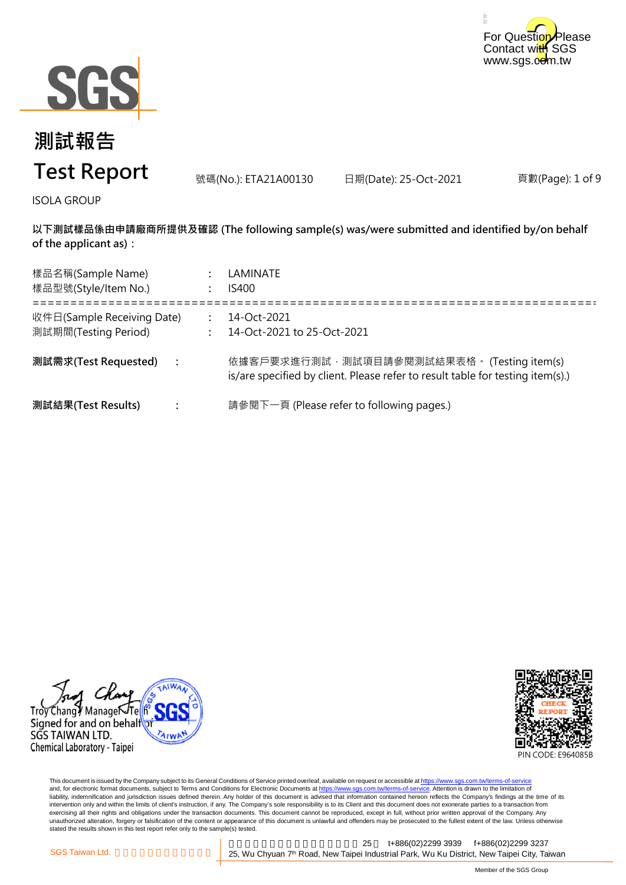



# **測試報告 Test Report**

號碼(No.): ETA21A00130 日期(Date): 25-Oct-2021

頁數(Page): 1 of 9

ISOLA GROUP

**以下測試樣品係由申請廠商所提供及確認 (The following sample(s) was/were submitted and identified by/on behalf of the applicant as):**

| 樣品名稱(Sample Name)<br>樣品型號(Style/Item No.)          |                | LAMINATE<br><b>IS400</b>                                                                                                      |
|----------------------------------------------------|----------------|-------------------------------------------------------------------------------------------------------------------------------|
| 收件日(Sample Receiving Date)<br>測試期間(Testing Period) |                | 14-Oct-2021<br>14-Oct-2021 to 25-Oct-2021                                                                                     |
| 測試需求(Test Requested)                               | $\mathbb{R}^2$ | 依據客戶要求進行測試, 測試項目請參閱測試結果表格。 (Testing item(s)<br>is/are specified by client. Please refer to result table for testing item(s).) |
| 測試結果(Test Results)                                 |                | 請參閱下一頁 (Please refer to following pages.)                                                                                     |





This document is issued by the Company subject to its General Conditions of Service printed overleaf, available on request or accessible at <u>https://www.sgs.com.tw/terms-of-service</u><br>and, for electronic format documents, su liability, indemnification and jurisdiction issues defined therein. Any holder of this document is advised that information contained hereon reflects the Company's findings at the time of its intervention only and within the limits of client's instruction, if any. The Company's sole responsibility is to its Client and this document does not exonerate parties to a transaction from exercising all their rights and obligations under the transaction documents. This document cannot be reproduced, except in full, without prior written approval of the Company. Any<br>unauthorized alteration, forgery or falsif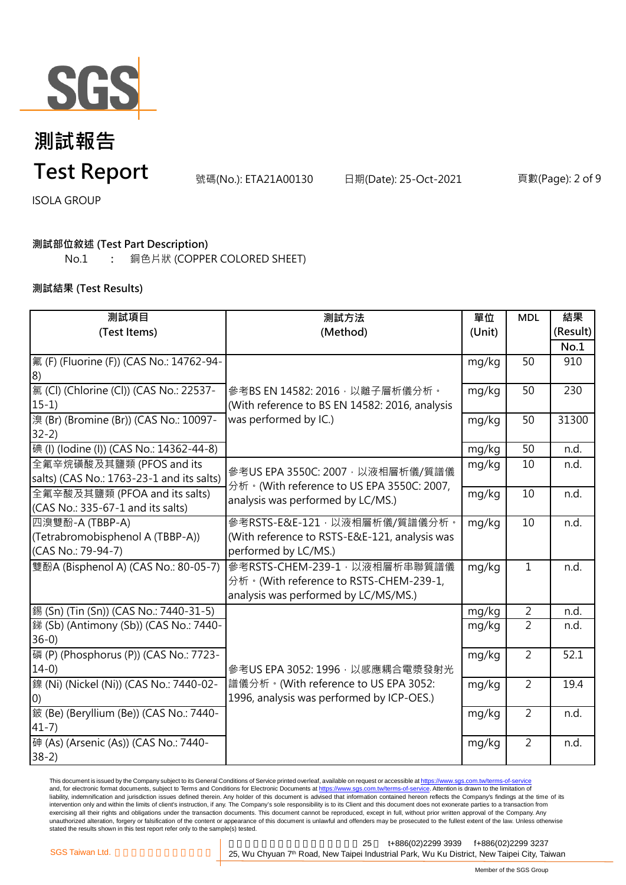

頁數(Page): 2 of 9

ISOLA GROUP

### **測試部位敘述 (Test Part Description)**

No.1 **:** 銅色片狀 (COPPER COLORED SHEET)

#### **測試結果 (Test Results)**

| 測試項目                                      | 測試方法                                                                                                                 | 單位     | <b>MDL</b>     | 結果       |
|-------------------------------------------|----------------------------------------------------------------------------------------------------------------------|--------|----------------|----------|
| (Test Items)                              | (Method)                                                                                                             | (Unit) |                | (Result) |
|                                           |                                                                                                                      |        |                | No.1     |
| 氟 (F) (Fluorine (F)) (CAS No.: 14762-94-  |                                                                                                                      | mg/kg  | 50             | 910      |
| 8)                                        |                                                                                                                      |        |                |          |
| 氯 (Cl) (Chlorine (Cl)) (CAS No.: 22537-   | 參考BS EN 14582: 2016, 以離子層析儀分析。<br>(With reference to BS EN 14582: 2016, analysis<br>was performed by IC.)            | mg/kg  | 50             | 230      |
| $15-1)$                                   |                                                                                                                      |        |                |          |
| 溴 (Br) (Bromine (Br)) (CAS No.: 10097-    |                                                                                                                      | mg/kg  | 50             | 31300    |
| $32-2)$                                   |                                                                                                                      |        |                |          |
| 碘 (I) (lodine (I)) (CAS No.: 14362-44-8)  |                                                                                                                      | mg/kg  | 50             | n.d.     |
| 全氟辛烷磺酸及其鹽類 (PFOS and its                  | 參考US EPA 3550C: 2007, 以液相層析儀/質譜儀<br>分析 · (With reference to US EPA 3550C: 2007,<br>analysis was performed by LC/MS.) | mg/kg  | 10             | n.d.     |
| salts) (CAS No.: 1763-23-1 and its salts) |                                                                                                                      |        |                |          |
| 全氟辛酸及其鹽類 (PFOA and its salts)             |                                                                                                                      | mg/kg  | 10             | n.d.     |
| (CAS No.: 335-67-1 and its salts)         |                                                                                                                      |        |                |          |
| 四溴雙酚-A (TBBP-A)                           | 參考RSTS-E&E-121,以液相層析儀/質譜儀分析。                                                                                         | mg/kg  | 10             | n.d.     |
| (Tetrabromobisphenol A (TBBP-A))          | (With reference to RSTS-E&E-121, analysis was                                                                        |        |                |          |
| (CAS No.: 79-94-7)                        | performed by LC/MS.)                                                                                                 |        |                |          |
| 雙酚A (Bisphenol A) (CAS No.: 80-05-7)      | 參考RSTS-CHEM-239-1, 以液相層析串聯質譜儀                                                                                        | mg/kg  | $\mathbf{1}$   | n.d.     |
|                                           | 分析。(With reference to RSTS-CHEM-239-1,                                                                               |        |                |          |
|                                           | analysis was performed by LC/MS/MS.)                                                                                 |        |                |          |
| 錫 (Sn) (Tin (Sn)) (CAS No.: 7440-31-5)    |                                                                                                                      | mg/kg  | $\overline{2}$ | n.d.     |
| 銻 (Sb) (Antimony (Sb)) (CAS No.: 7440-    |                                                                                                                      | mg/kg  | $\overline{2}$ | n.d.     |
| $36-0$                                    |                                                                                                                      |        |                |          |
| 磷 (P) (Phosphorus (P)) (CAS No.: 7723-    |                                                                                                                      | mg/kg  | $\overline{2}$ | 52.1     |
| $14-0$                                    | 參考US EPA 3052: 1996, 以感應耦合電漿發射光                                                                                      |        |                |          |
| 鎳 (Ni) (Nickel (Ni)) (CAS No.: 7440-02-   | 譜儀分析。(With reference to US EPA 3052:                                                                                 | mg/kg  | $\overline{2}$ | 19.4     |
| (0)                                       | 1996, analysis was performed by ICP-OES.)                                                                            |        |                |          |
| 鈹 (Be) (Beryllium (Be)) (CAS No.: 7440-   |                                                                                                                      | mg/kg  | $\overline{2}$ | n.d.     |
| $41 - 7$                                  |                                                                                                                      |        |                |          |
| 砷 (As) (Arsenic (As)) (CAS No.: 7440-     |                                                                                                                      | mg/kg  | $\overline{2}$ | n.d.     |
| $38-2)$                                   |                                                                                                                      |        |                |          |

This document is issued by the Company subject to its General Conditions of Service printed overleaf, available on request or accessible at <u>https://www.sgs.com.tw/terms-of-service</u><br>and, for electronic format documents, su liability, indemnification and jurisdiction issues defined therein. Any holder of this document is advised that information contained hereon reflects the Company's findings at the time of its intervention only and within the limits of client's instruction, if any. The Company's sole responsibility is to its Client and this document does not exonerate parties to a transaction from exercising all their rights and obligations under the transaction documents. This document cannot be reproduced, except in full, without prior written approval of the Company. Any<br>unauthorized alteration, forgery or falsif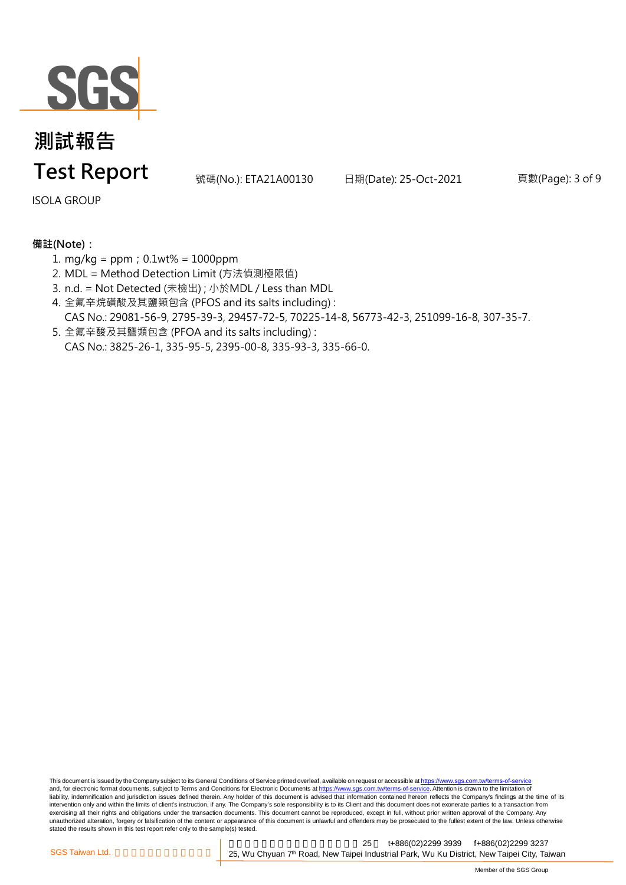

頁數(Page): 3 of 9

ISOLA GROUP

### **備註(Note):**

- 1. mg/kg = ppm;0.1wt% = 1000ppm
- 2. MDL = Method Detection Limit (方法偵測極限值)
- 3. n.d. = Not Detected (未檢出) ; 小於MDL / Less than MDL
- 4. 全氟辛烷磺酸及其鹽類包含 (PFOS and its salts including) : CAS No.: 29081-56-9, 2795-39-3, 29457-72-5, 70225-14-8, 56773-42-3, 251099-16-8, 307-35-7.
- 5. 全氟辛酸及其鹽類包含 (PFOA and its salts including) : CAS No.: 3825-26-1, 335-95-5, 2395-00-8, 335-93-3, 335-66-0.

This document is issued by the Company subject to its General Conditions of Service printed overleaf, available on request or accessible at https://www.sgs.com.tw/terms-of-service and, for electronic format documents, subject to Terms and Conditions for Electronic Documents at https://www.sgs.com.tw/terms-of-service. Attention is drawn to the limitation of liability, indemnification and jurisdiction issues defined therein. Any holder of this document is advised that information contained hereon reflects the Company's findings at the time of its intervention only and within the limits of client's instruction, if any. The Company's sole responsibility is to its Client and this document does not exonerate parties to a transaction from exercising all their rights and obligations under the transaction documents. This document cannot be reproduced, except in full, without prior written approval of the Company. Any<br>unauthorized alteration, forgery or falsif stated the results shown in this test report refer only to the sample(s) tested.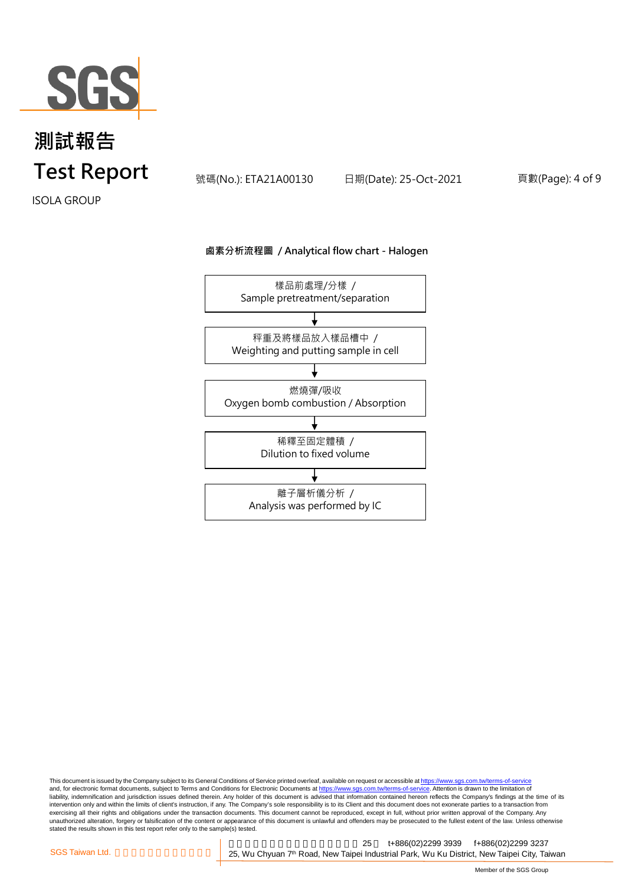

頁數(Page): 4 of 9

ISOLA GROUP

#### **鹵素分析流程圖 / Analytical flow chart - Halogen**



This document is issued by the Company subject to its General Conditions of Service printed overleaf, available on request or accessible at <u>https://www.sgs.com.tw/terms-of-service</u><br>and, for electronic format documents, su liability, indemnification and jurisdiction issues defined therein. Any holder of this document is advised that information contained hereon reflects the Company's findings at the time of its intervention only and within the limits of client's instruction, if any. The Company's sole responsibility is to its Client and this document does not exonerate parties to a transaction from exercising all their rights and obligations under the transaction documents. This document cannot be reproduced, except in full, without prior written approval of the Company. Any<br>unauthorized alteration, forgery or falsif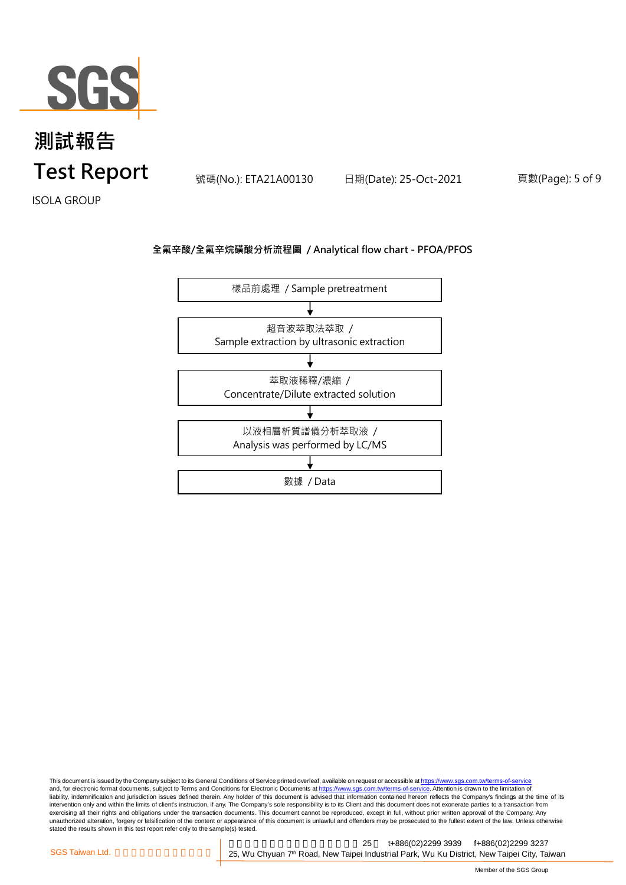

頁數(Page): 5 of 9

ISOLA GROUP

#### **全氟辛酸/全氟辛烷磺酸分析流程圖 / Analytical flow chart - PFOA/PFOS**



This document is issued by the Company subject to its General Conditions of Service printed overleaf, available on request or accessible at <u>https://www.sgs.com.tw/terms-of-service</u><br>and, for electronic format documents, su liability, indemnification and jurisdiction issues defined therein. Any holder of this document is advised that information contained hereon reflects the Company's findings at the time of its intervention only and within the limits of client's instruction, if any. The Company's sole responsibility is to its Client and this document does not exonerate parties to a transaction from exercising all their rights and obligations under the transaction documents. This document cannot be reproduced, except in full, without prior written approval of the Company. Any<br>unauthorized alteration, forgery or falsif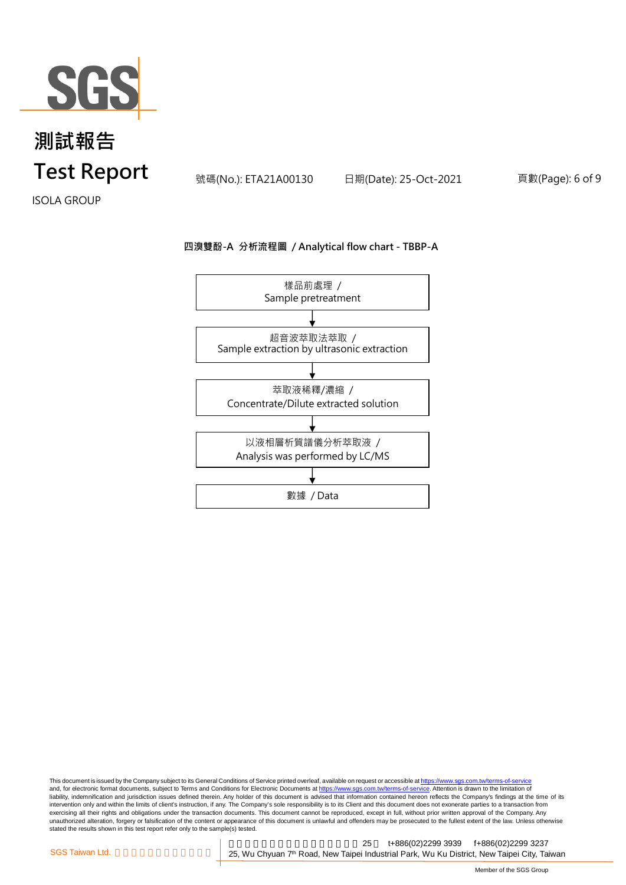

頁數(Page): 6 of 9

ISOLA GROUP

#### **四溴雙酚-A 分析流程圖 / Analytical flow chart - TBBP-A**



This document is issued by the Company subject to its General Conditions of Service printed overleaf, available on request or accessible at <u>https://www.sgs.com.tw/terms-of-service</u><br>and, for electronic format documents, su liability, indemnification and jurisdiction issues defined therein. Any holder of this document is advised that information contained hereon reflects the Company's findings at the time of its intervention only and within the limits of client's instruction, if any. The Company's sole responsibility is to its Client and this document does not exonerate parties to a transaction from exercising all their rights and obligations under the transaction documents. This document cannot be reproduced, except in full, without prior written approval of the Company. Any<br>unauthorized alteration, forgery or falsif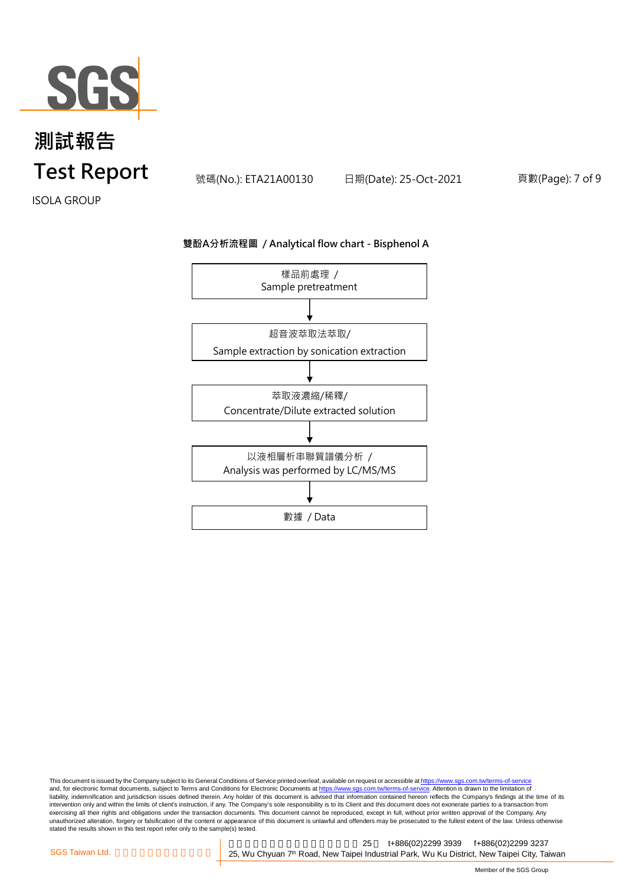

頁數(Page): 7 of 9

ISOLA GROUP

#### **雙酚A分析流程圖 / Analytical flow chart - Bisphenol A**



This document is issued by the Company subject to its General Conditions of Service printed overleaf, available on request or accessible at <u>https://www.sgs.com.tw/terms-of-service</u><br>and, for electronic format documents, su liability, indemnification and jurisdiction issues defined therein. Any holder of this document is advised that information contained hereon reflects the Company's findings at the time of its intervention only and within the limits of client's instruction, if any. The Company's sole responsibility is to its Client and this document does not exonerate parties to a transaction from exercising all their rights and obligations under the transaction documents. This document cannot be reproduced, except in full, without prior written approval of the Company. Any<br>unauthorized alteration, forgery or falsif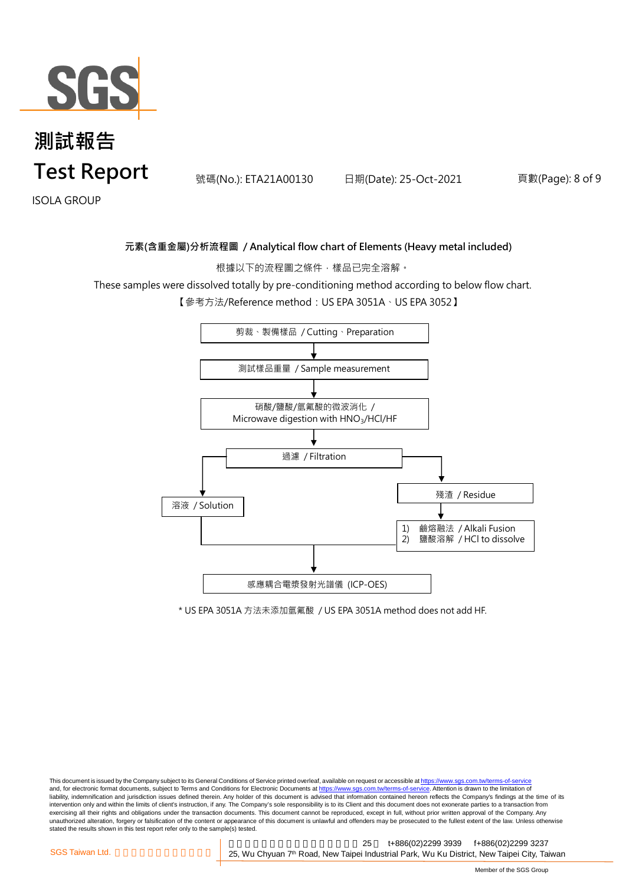

### **測試報告 Test Report we have the state of the state Report** and the state of the state of the state of the state of the state of the state of the state of the state of the state of the state of the state of the state of the sta

頁數(Page): 8 of 9

ISOLA GROUP

#### **元素(含重金屬)分析流程圖 / Analytical flow chart of Elements (Heavy metal included)**

根據以下的流程圖之條件,樣品已完全溶解。

These samples were dissolved totally by pre-conditioning method according to below flow chart.

【參考方法/Reference method:US EPA 3051A、US EPA 3052】



\* US EPA 3051A 方法未添加氫氟酸 / US EPA 3051A method does not add HF.

This document is issued by the Company subject to its General Conditions of Service printed overleaf, available on request or accessible at https://www.sgs.com.tw/terms-of-service and, for electronic format documents, subject to Terms and Conditions for Electronic Documents at https://www.sgs.com.tw/terms-of-service. Attention is drawn to the limitation of liability, indemnification and jurisdiction issues defined therein. Any holder of this document is advised that information contained hereon reflects the Company's findings at the time of its intervention only and within the limits of client's instruction, if any. The Company's sole responsibility is to its Client and this document does not exonerate parties to a transaction from exercising all their rights and obligations under the transaction documents. This document cannot be reproduced, except in full, without prior written approval of the Company. Any<br>unauthorized alteration, forgery or falsif